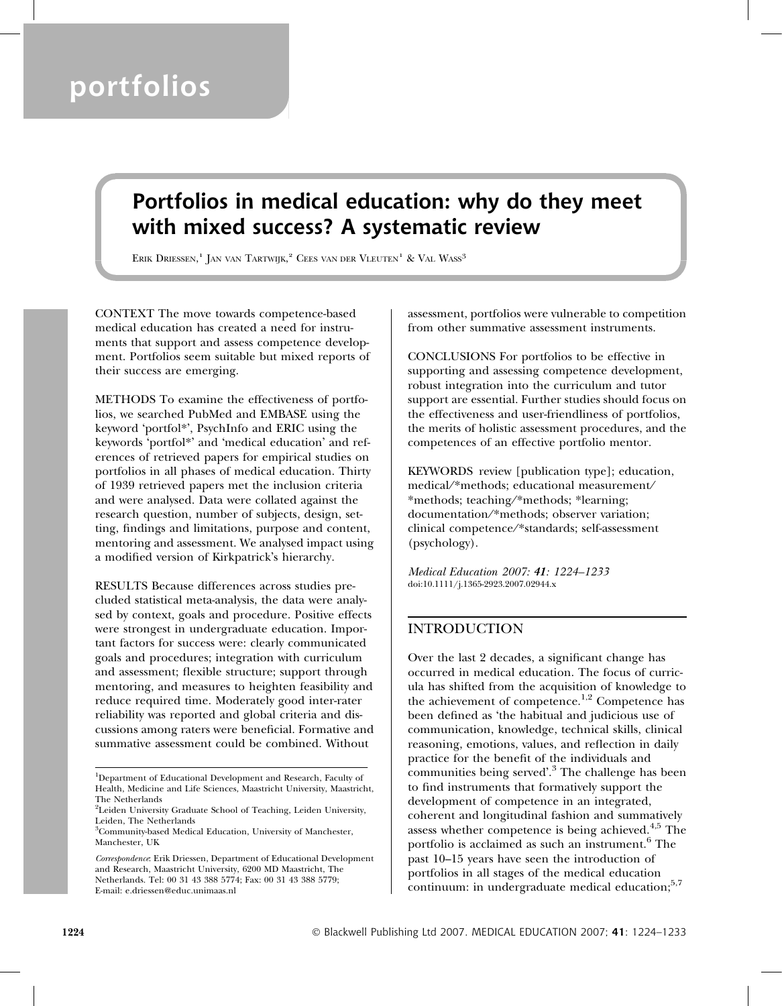# Portfolios in medical education: why do they meet with mixed success? A systematic review

ERIK DRIESSEN,<sup>1</sup> JAN VAN TARTWIJK,<sup>2</sup> CEES VAN DER VLEUTEN<sup>1</sup> & VAL WASS<sup>3</sup>

CONTEXT The move towards competence-based medical education has created a need for instruments that support and assess competence development. Portfolios seem suitable but mixed reports of their success are emerging.

METHODS To examine the effectiveness of portfolios, we searched PubMed and EMBASE using the keyword 'portfol\*', PsychInfo and ERIC using the keywords 'portfol\*' and 'medical education' and references of retrieved papers for empirical studies on portfolios in all phases of medical education. Thirty of 1939 retrieved papers met the inclusion criteria and were analysed. Data were collated against the research question, number of subjects, design, setting, findings and limitations, purpose and content, mentoring and assessment. We analysed impact using a modified version of Kirkpatrick's hierarchy.

RESULTS Because differences across studies precluded statistical meta-analysis, the data were analysed by context, goals and procedure. Positive effects were strongest in undergraduate education. Important factors for success were: clearly communicated goals and procedures; integration with curriculum and assessment; flexible structure; support through mentoring, and measures to heighten feasibility and reduce required time. Moderately good inter-rater reliability was reported and global criteria and discussions among raters were beneficial. Formative and summative assessment could be combined. Without

3 Community-based Medical Education, University of Manchester, Manchester, UK

assessment, portfolios were vulnerable to competition from other summative assessment instruments.

CONCLUSIONS For portfolios to be effective in supporting and assessing competence development, robust integration into the curriculum and tutor support are essential. Further studies should focus on the effectiveness and user-friendliness of portfolios, the merits of holistic assessment procedures, and the competences of an effective portfolio mentor.

KEYWORDS review [publication type]; education, medical⁄ \*methods; educational measurement⁄ \*methods; teaching/\*methods; \*learning; documentation⁄ \*methods; observer variation; clinical competence ⁄ \*standards; self-assessment (psychology).

Medical Education 2007: 41: 1224–1233 doi:10.1111/j.1365-2923.2007.02944.x

# INTRODUCTION

Over the last 2 decades, a significant change has occurred in medical education. The focus of curricula has shifted from the acquisition of knowledge to the achievement of competence.<sup>1,2</sup> Competence has been defined as 'the habitual and judicious use of communication, knowledge, technical skills, clinical reasoning, emotions, values, and reflection in daily practice for the benefit of the individuals and communities being served'.<sup>3</sup> The challenge has been to find instruments that formatively support the development of competence in an integrated, coherent and longitudinal fashion and summatively assess whether competence is being achieved. $4.5$  The portfolio is acclaimed as such an instrument.<sup>6</sup> The past 10–15 years have seen the introduction of portfolios in all stages of the medical education continuum: in undergraduate medical education;<sup>5,7</sup>

<sup>&</sup>lt;sup>1</sup>Department of Educational Development and Research, Faculty of Health, Medicine and Life Sciences, Maastricht University, Maastricht, The Netherlands

<sup>&</sup>lt;sup>2</sup>Leiden University Graduate School of Teaching, Leiden University, Leiden, The Netherlands

Correspondence: Erik Driessen, Department of Educational Development and Research, Maastricht University, 6200 MD Maastricht, The Netherlands. Tel: 00 31 43 388 5774; Fax: 00 31 43 388 5779; E-mail: e.driessen@educ.unimaas.nl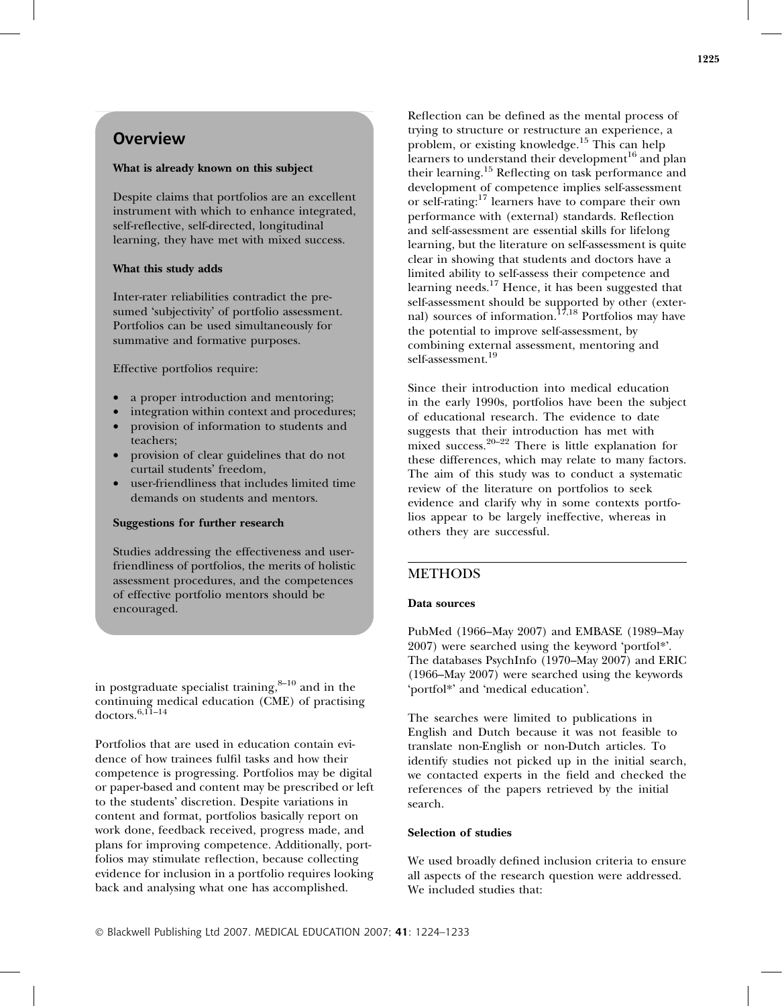# **Overview**

### What is already known on this subject

Despite claims that portfolios are an excellent instrument with which to enhance integrated, self-reflective, self-directed, longitudinal learning, they have met with mixed success.

## What this study adds

Inter-rater reliabilities contradict the presumed 'subjectivity' of portfolio assessment. Portfolios can be used simultaneously for summative and formative purposes.

Effective portfolios require:

- a proper introduction and mentoring;
- integration within context and procedures;
- provision of information to students and teachers;
- provision of clear guidelines that do not curtail students' freedom,
- user-friendliness that includes limited time demands on students and mentors.

#### Suggestions for further research

Studies addressing the effectiveness and userfriendliness of portfolios, the merits of holistic assessment procedures, and the competences of effective portfolio mentors should be encouraged.

in postgraduate specialist training, $8-10$  and in the continuing medical education (CME) of practising doctors.6,11–14

Portfolios that are used in education contain evidence of how trainees fulfil tasks and how their competence is progressing. Portfolios may be digital or paper-based and content may be prescribed or left to the students' discretion. Despite variations in content and format, portfolios basically report on work done, feedback received, progress made, and plans for improving competence. Additionally, portfolios may stimulate reflection, because collecting evidence for inclusion in a portfolio requires looking back and analysing what one has accomplished.

Reflection can be defined as the mental process of trying to structure or restructure an experience, a problem, or existing knowledge.<sup>15</sup> This can help learners to understand their development<sup>16</sup> and plan their learning.15 Reflecting on task performance and development of competence implies self-assessment or self-rating:17 learners have to compare their own performance with (external) standards. Reflection and self-assessment are essential skills for lifelong learning, but the literature on self-assessment is quite clear in showing that students and doctors have a limited ability to self-assess their competence and learning needs.17 Hence, it has been suggested that self-assessment should be supported by other (external) sources of information.<sup>17,18</sup> Portfolios may have the potential to improve self-assessment, by combining external assessment, mentoring and self-assessment.19

Since their introduction into medical education in the early 1990s, portfolios have been the subject of educational research. The evidence to date suggests that their introduction has met with mixed success.<sup>20–22</sup> There is little explanation for these differences, which may relate to many factors. The aim of this study was to conduct a systematic review of the literature on portfolios to seek evidence and clarify why in some contexts portfolios appear to be largely ineffective, whereas in others they are successful.

# METHODS

## Data sources

PubMed (1966–May 2007) and EMBASE (1989–May 2007) were searched using the keyword 'portfol\*'. The databases PsychInfo (1970–May 2007) and ERIC (1966–May 2007) were searched using the keywords 'portfol\*' and 'medical education'.

The searches were limited to publications in English and Dutch because it was not feasible to translate non-English or non-Dutch articles. To identify studies not picked up in the initial search, we contacted experts in the field and checked the references of the papers retrieved by the initial search.

## Selection of studies

We used broadly defined inclusion criteria to ensure all aspects of the research question were addressed. We included studies that: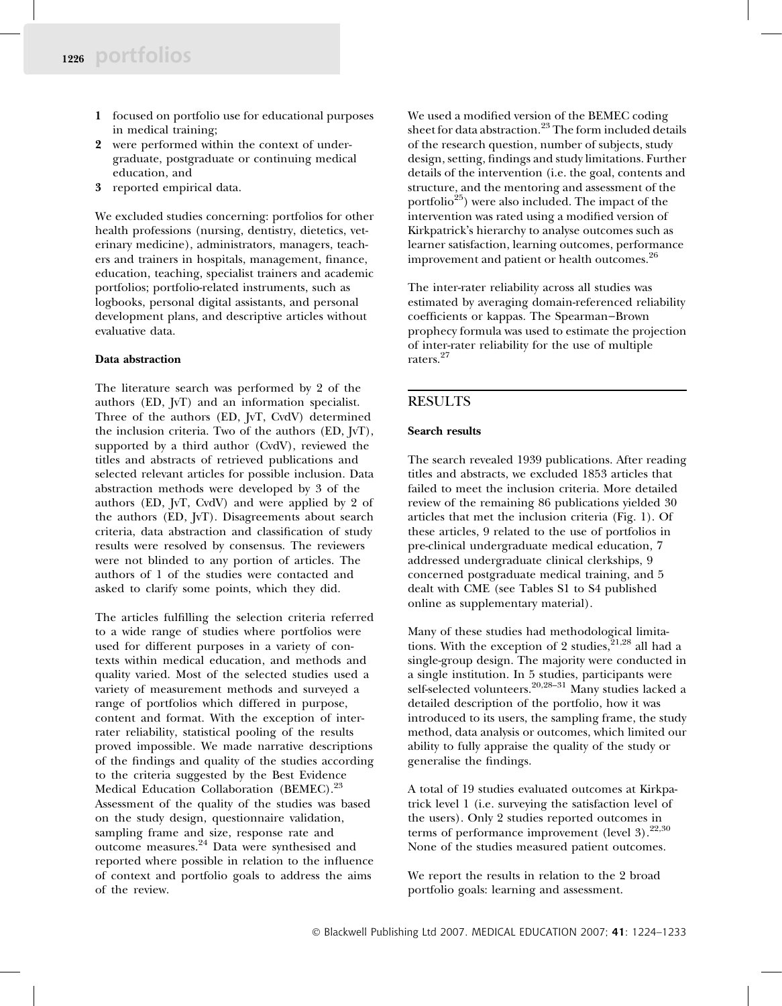- 1 focused on portfolio use for educational purposes in medical training;
- 2 were performed within the context of undergraduate, postgraduate or continuing medical education, and
- 3 reported empirical data.

We excluded studies concerning: portfolios for other health professions (nursing, dentistry, dietetics, veterinary medicine), administrators, managers, teachers and trainers in hospitals, management, finance, education, teaching, specialist trainers and academic portfolios; portfolio-related instruments, such as logbooks, personal digital assistants, and personal development plans, and descriptive articles without evaluative data.

#### Data abstraction

The literature search was performed by 2 of the authors (ED, JvT) and an information specialist. Three of the authors (ED, JvT, CvdV) determined the inclusion criteria. Two of the authors (ED, JvT), supported by a third author (CvdV), reviewed the titles and abstracts of retrieved publications and selected relevant articles for possible inclusion. Data abstraction methods were developed by 3 of the authors (ED, JvT, CvdV) and were applied by 2 of the authors (ED, JvT). Disagreements about search criteria, data abstraction and classification of study results were resolved by consensus. The reviewers were not blinded to any portion of articles. The authors of 1 of the studies were contacted and asked to clarify some points, which they did.

The articles fulfilling the selection criteria referred to a wide range of studies where portfolios were used for different purposes in a variety of contexts within medical education, and methods and quality varied. Most of the selected studies used a variety of measurement methods and surveyed a range of portfolios which differed in purpose, content and format. With the exception of interrater reliability, statistical pooling of the results proved impossible. We made narrative descriptions of the findings and quality of the studies according to the criteria suggested by the Best Evidence Medical Education Collaboration (BEMEC).<sup>23</sup> Assessment of the quality of the studies was based on the study design, questionnaire validation, sampling frame and size, response rate and outcome measures.<sup>24</sup> Data were synthesised and reported where possible in relation to the influence of context and portfolio goals to address the aims of the review.

We used a modified version of the BEMEC coding sheet for data abstraction.<sup>23</sup> The form included details of the research question, number of subjects, study design, setting, findings and study limitations. Further details of the intervention (i.e. the goal, contents and structure, and the mentoring and assessment of the portfolio<sup>25</sup>) were also included. The impact of the intervention was rated using a modified version of Kirkpatrick's hierarchy to analyse outcomes such as learner satisfaction, learning outcomes, performance improvement and patient or health outcomes.<sup>26</sup>

The inter-rater reliability across all studies was estimated by averaging domain-referenced reliability coefficients or kappas. The Spearman-Brown prophecy formula was used to estimate the projection of inter-rater reliability for the use of multiple raters.<sup>27</sup>

## **RESULTS**

#### Search results

The search revealed 1939 publications. After reading titles and abstracts, we excluded 1853 articles that failed to meet the inclusion criteria. More detailed review of the remaining 86 publications yielded 30 articles that met the inclusion criteria (Fig. 1). Of these articles, 9 related to the use of portfolios in pre-clinical undergraduate medical education, 7 addressed undergraduate clinical clerkships, 9 concerned postgraduate medical training, and 5 dealt with CME (see Tables S1 to S4 published online as supplementary material).

Many of these studies had methodological limitations. With the exception of 2 studies,  $2^{1,28}$  all had a single-group design. The majority were conducted in a single institution. In 5 studies, participants were self-selected volunteers.<sup>20,28–31</sup> Many studies lacked a detailed description of the portfolio, how it was introduced to its users, the sampling frame, the study method, data analysis or outcomes, which limited our ability to fully appraise the quality of the study or generalise the findings.

A total of 19 studies evaluated outcomes at Kirkpatrick level 1 (i.e. surveying the satisfaction level of the users). Only 2 studies reported outcomes in terms of performance improvement (level 3).<sup>22,30</sup> None of the studies measured patient outcomes.

We report the results in relation to the 2 broad portfolio goals: learning and assessment.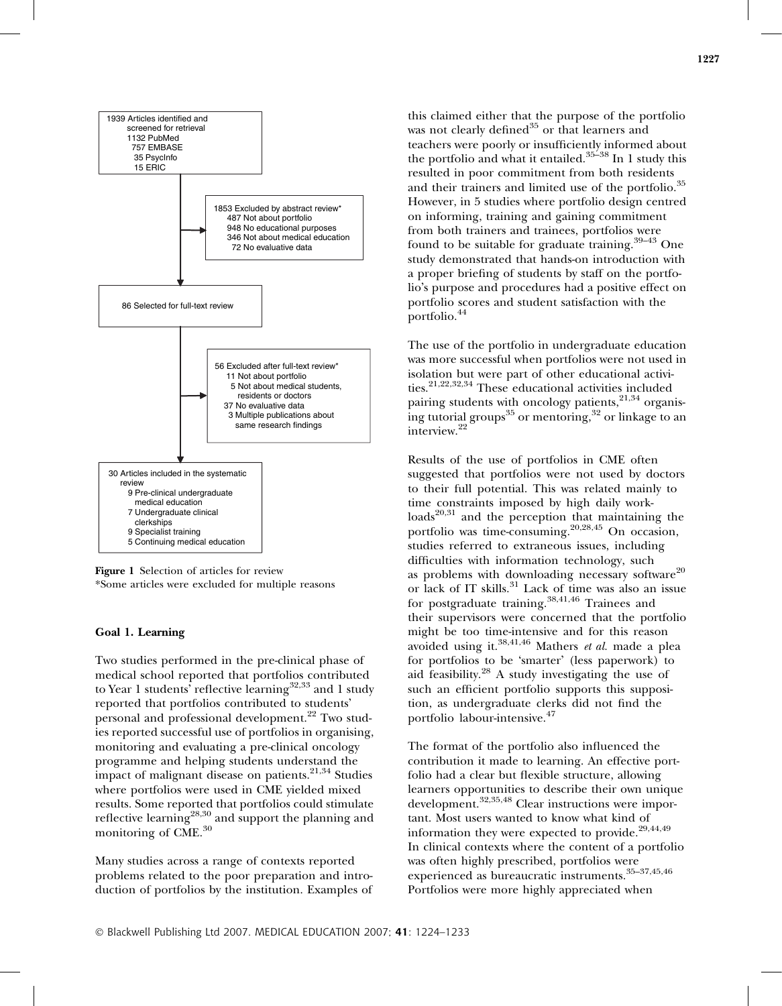

Figure 1 Selection of articles for review \*Some articles were excluded for multiple reasons

#### Goal 1. Learning

Two studies performed in the pre-clinical phase of medical school reported that portfolios contributed to Year 1 students<sup>7</sup> reflective learning<sup>32,33</sup> and 1 study reported that portfolios contributed to students personal and professional development.<sup>22</sup> Two studies reported successful use of portfolios in organising, monitoring and evaluating a pre-clinical oncology programme and helping students understand the impact of malignant disease on patients.<sup>21,34</sup> Studies where portfolios were used in CME yielded mixed results. Some reported that portfolios could stimulate reflective learning<sup>28,30</sup> and support the planning and monitoring of CME.<sup>30</sup>

Many studies across a range of contexts reported problems related to the poor preparation and introduction of portfolios by the institution. Examples of this claimed either that the purpose of the portfolio was not clearly defined $35$  or that learners and teachers were poorly or insufficiently informed about the portfolio and what it entailed.35–38 In 1 study this resulted in poor commitment from both residents and their trainers and limited use of the portfolio.<sup>35</sup> However, in 5 studies where portfolio design centred on informing, training and gaining commitment from both trainers and trainees, portfolios were found to be suitable for graduate training.<sup>39-43</sup> One study demonstrated that hands-on introduction with a proper briefing of students by staff on the portfolio's purpose and procedures had a positive effect on portfolio scores and student satisfaction with the portfolio.<sup>44</sup>

The use of the portfolio in undergraduate education was more successful when portfolios were not used in isolation but were part of other educational activities.21,22,32,34 These educational activities included pairing students with oncology patients, $2^{1,34}$  organising tutorial groups $^{35}$  or mentoring,  $^{32}$  or linkage to an interview.<sup>22</sup>

Results of the use of portfolios in CME often suggested that portfolios were not used by doctors to their full potential. This was related mainly to time constraints imposed by high daily workloads $20,31$  and the perception that maintaining the portfolio was time-consuming.<sup>20,28,45</sup> On occasion, studies referred to extraneous issues, including difficulties with information technology, such as problems with downloading necessary software<sup>20</sup> or lack of IT skills.<sup>31</sup> Lack of time was also an issue for postgraduate training.<sup>38,41,46</sup> Trainees and their supervisors were concerned that the portfolio might be too time-intensive and for this reason avoided using it.38,41,46 Mathers et al. made a plea for portfolios to be 'smarter' (less paperwork) to aid feasibility.<sup>28</sup> A study investigating the use of such an efficient portfolio supports this supposition, as undergraduate clerks did not find the portfolio labour-intensive.<sup>47</sup>

The format of the portfolio also influenced the contribution it made to learning. An effective portfolio had a clear but flexible structure, allowing learners opportunities to describe their own unique development.32,35,48 Clear instructions were important. Most users wanted to know what kind of information they were expected to provide.29,44,49 In clinical contexts where the content of a portfolio was often highly prescribed, portfolios were experienced as bureaucratic instruments.35–37,45,46 Portfolios were more highly appreciated when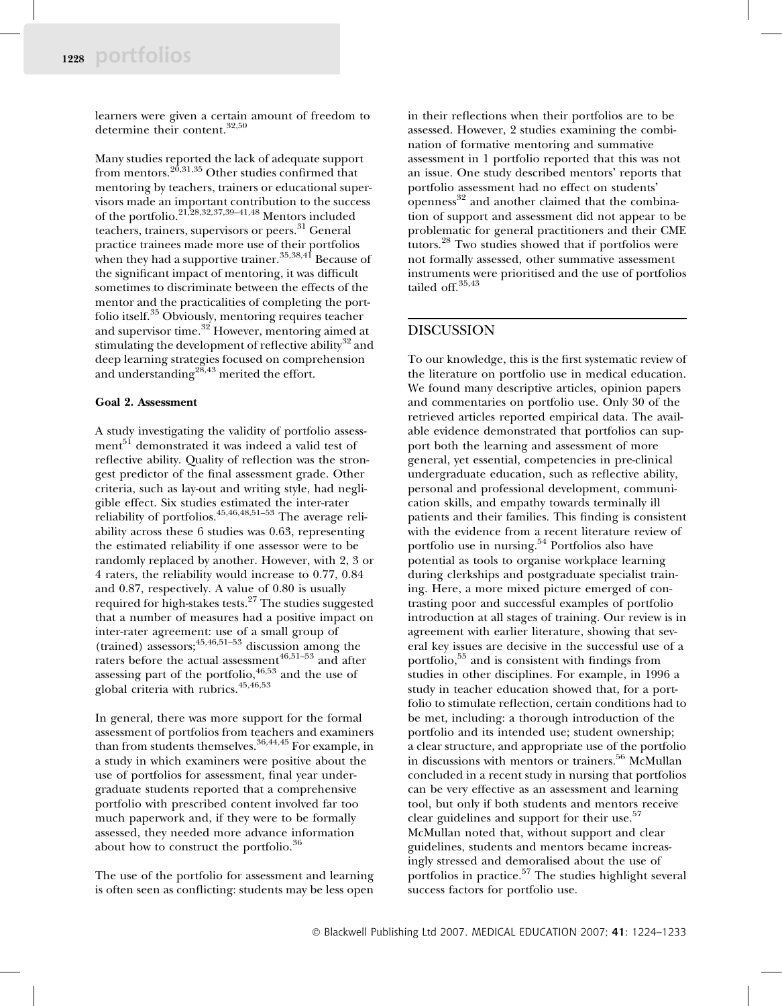learners were given a certain amount of freedom to determine their content.<sup>32,50</sup>

Many studies reported the lack of adequate support from mentors.<sup>20,31,35</sup> Other studies confirmed that mentoring by teachers, trainers or educational supervisors made an important contribution to the success of the portfolio.<sup>21,28,32,37,39–41,48</sup> Mentors included teachers, trainers, supervisors or peers.<sup>31</sup> General practice trainees made more use of their portfolios when they had a supportive trainer. $35,38,41$  Because of the significant impact of mentoring, it was difficult sometimes to discriminate between the effects of the mentor and the practicalities of completing the portfolio itself.<sup>35</sup> Obviously, mentoring requires teacher and supervisor time.<sup>32</sup> However, mentoring aimed at stimulating the development of reflective ability $32$  and deep learning strategies focused on comprehension and understanding<sup>28,43</sup> merited the effort.

#### Goal 2. Assessment

A study investigating the validity of portfolio assessment<sup>51</sup> demonstrated it was indeed a valid test of reflective ability. Quality of reflection was the strongest predictor of the final assessment grade. Other criteria, such as lay-out and writing style, had negligible effect. Six studies estimated the inter-rater reliability of portfolios.<sup>45,46,48,51-53</sup> The average reliability across these 6 studies was 0.63, representing the estimated reliability if one assessor were to be randomly replaced by another. However, with 2, 3 or 4 raters, the reliability would increase to 0.77, 0.84 and 0.87, respectively. A value of 0.80 is usually required for high-stakes tests.27 The studies suggested that a number of measures had a positive impact on inter-rater agreement: use of a small group of (trained) assessors;  $45,46,51-53$  discussion among the raters before the actual assessment<sup>46,51–53</sup> and after assessing part of the portfolio, $46,53$  and the use of global criteria with rubrics.45,46,53

In general, there was more support for the formal assessment of portfolios from teachers and examiners than from students themselves.  $36,44,45$  For example, in a study in which examiners were positive about the use of portfolios for assessment, final year undergraduate students reported that a comprehensive portfolio with prescribed content involved far too much paperwork and, if they were to be formally assessed, they needed more advance information about how to construct the portfolio.<sup>36</sup>

The use of the portfolio for assessment and learning is often seen as conflicting: students may be less open in their reflections when their portfolios are to be assessed. However, 2 studies examining the combination of formative mentoring and summative assessment in 1 portfolio reported that this was not an issue. One study described mentors' reports that portfolio assessment had no effect on students  $openness<sup>32</sup>$  and another claimed that the combination of support and assessment did not appear to be problematic for general practitioners and their CME tutors.<sup>28</sup> Two studies showed that if portfolios were not formally assessed, other summative assessment instruments were prioritised and the use of portfolios tailed off.<sup>35,43</sup>

## DISCUSSION

To our knowledge, this is the first systematic review of the literature on portfolio use in medical education. We found many descriptive articles, opinion papers and commentaries on portfolio use. Only 30 of the retrieved articles reported empirical data. The available evidence demonstrated that portfolios can support both the learning and assessment of more general, yet essential, competencies in pre-clinical undergraduate education, such as reflective ability, personal and professional development, communication skills, and empathy towards terminally ill patients and their families. This finding is consistent with the evidence from a recent literature review of portfolio use in nursing.54 Portfolios also have potential as tools to organise workplace learning during clerkships and postgraduate specialist training. Here, a more mixed picture emerged of contrasting poor and successful examples of portfolio introduction at all stages of training. Our review is in agreement with earlier literature, showing that several key issues are decisive in the successful use of a portfolio,<sup>55</sup> and is consistent with findings from studies in other disciplines. For example, in 1996 a study in teacher education showed that, for a portfolio to stimulate reflection, certain conditions had to be met, including: a thorough introduction of the portfolio and its intended use; student ownership; a clear structure, and appropriate use of the portfolio in discussions with mentors or trainers.<sup>56</sup> McMullan concluded in a recent study in nursing that portfolios can be very effective as an assessment and learning tool, but only if both students and mentors receive clear guidelines and support for their use. $57$ McMullan noted that, without support and clear guidelines, students and mentors became increasingly stressed and demoralised about the use of portfolios in practice.<sup>57</sup> The studies highlight several success factors for portfolio use.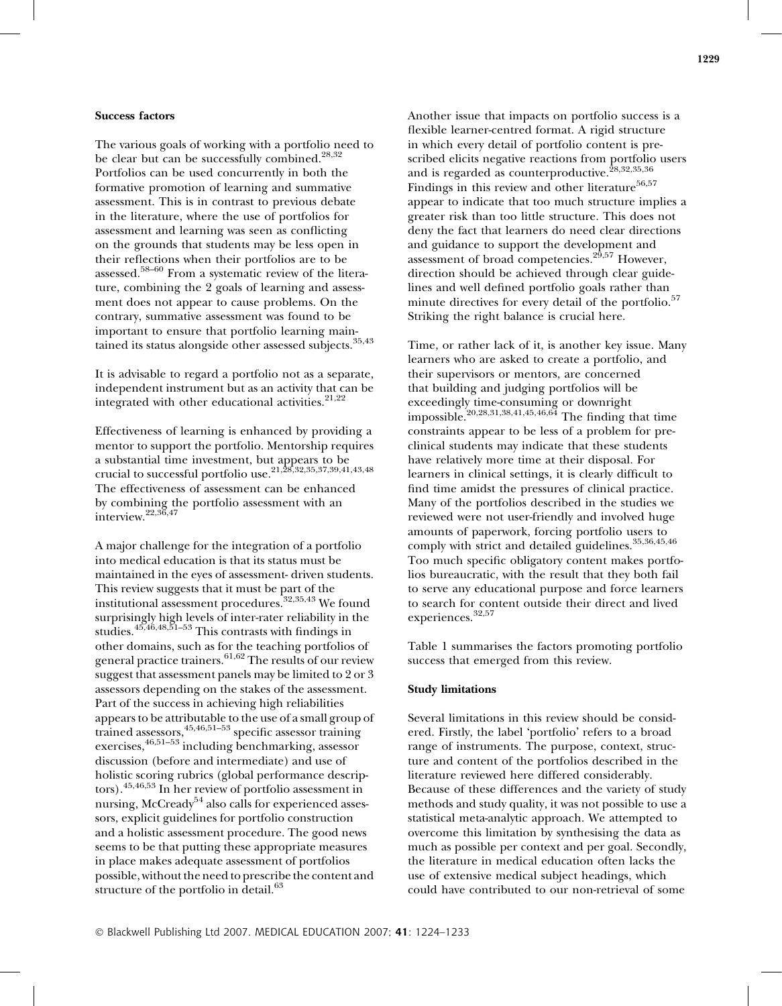#### Success factors

The various goals of working with a portfolio need to be clear but can be successfully combined.<sup>28,32</sup> Portfolios can be used concurrently in both the formative promotion of learning and summative assessment. This is in contrast to previous debate in the literature, where the use of portfolios for assessment and learning was seen as conflicting on the grounds that students may be less open in their reflections when their portfolios are to be assessed.58–60 From a systematic review of the literature, combining the 2 goals of learning and assessment does not appear to cause problems. On the contrary, summative assessment was found to be important to ensure that portfolio learning maintained its status alongside other assessed subjects.<sup>35,43</sup>

It is advisable to regard a portfolio not as a separate, independent instrument but as an activity that can be integrated with other educational activities. $21,22$ 

Effectiveness of learning is enhanced by providing a mentor to support the portfolio. Mentorship requires a substantial time investment, but appears to be crucial to successful portfolio use.21,28,32,35,37,39,41,43,48 The effectiveness of assessment can be enhanced by combining the portfolio assessment with an interview. $^{22,3\bar{6},47}$ 

A major challenge for the integration of a portfolio into medical education is that its status must be maintained in the eyes of assessment- driven students. This review suggests that it must be part of the institutional assessment procedures.32,35,43 We found surprisingly high levels of inter-rater reliability in the studies. $45,46,48,51-53$  This contrasts with findings in other domains, such as for the teaching portfolios of general practice trainers.<sup>61,62</sup> The results of our review suggest that assessment panels may be limited to 2 or 3 assessors depending on the stakes of the assessment. Part of the success in achieving high reliabilities appears to be attributable to the use of a small group of trained assessors,45,46,51–53 specific assessor training exercises,46,51–53 including benchmarking, assessor discussion (before and intermediate) and use of holistic scoring rubrics (global performance descriptors).45,46,53 In her review of portfolio assessment in nursing, McCready<sup>54</sup> also calls for experienced assessors, explicit guidelines for portfolio construction and a holistic assessment procedure. The good news seems to be that putting these appropriate measures in place makes adequate assessment of portfolios possible, without the need to prescribe the content and structure of the portfolio in detail.<sup>63</sup>

Another issue that impacts on portfolio success is a flexible learner-centred format. A rigid structure in which every detail of portfolio content is prescribed elicits negative reactions from portfolio users and is regarded as counterproductive.<sup>28,32,35,36</sup> Findings in this review and other literature $56,57$ appear to indicate that too much structure implies a greater risk than too little structure. This does not deny the fact that learners do need clear directions and guidance to support the development and assessment of broad competencies.<sup>29,57</sup> However, direction should be achieved through clear guidelines and well defined portfolio goals rather than minute directives for every detail of the portfolio.<sup>57</sup> Striking the right balance is crucial here.

Time, or rather lack of it, is another key issue. Many learners who are asked to create a portfolio, and their supervisors or mentors, are concerned that building and judging portfolios will be exceedingly time-consuming or downright impossible.20,28,31,38,41,45,46,64 The finding that time constraints appear to be less of a problem for preclinical students may indicate that these students have relatively more time at their disposal. For learners in clinical settings, it is clearly difficult to find time amidst the pressures of clinical practice. Many of the portfolios described in the studies we reviewed were not user-friendly and involved huge amounts of paperwork, forcing portfolio users to comply with strict and detailed guidelines.<sup>35,36,45,46</sup> Too much specific obligatory content makes portfolios bureaucratic, with the result that they both fail to serve any educational purpose and force learners to search for content outside their direct and lived experiences.<sup>32,57</sup>

Table 1 summarises the factors promoting portfolio success that emerged from this review.

#### Study limitations

Several limitations in this review should be considered. Firstly, the label 'portfolio' refers to a broad range of instruments. The purpose, context, structure and content of the portfolios described in the literature reviewed here differed considerably. Because of these differences and the variety of study methods and study quality, it was not possible to use a statistical meta-analytic approach. We attempted to overcome this limitation by synthesising the data as much as possible per context and per goal. Secondly, the literature in medical education often lacks the use of extensive medical subject headings, which could have contributed to our non-retrieval of some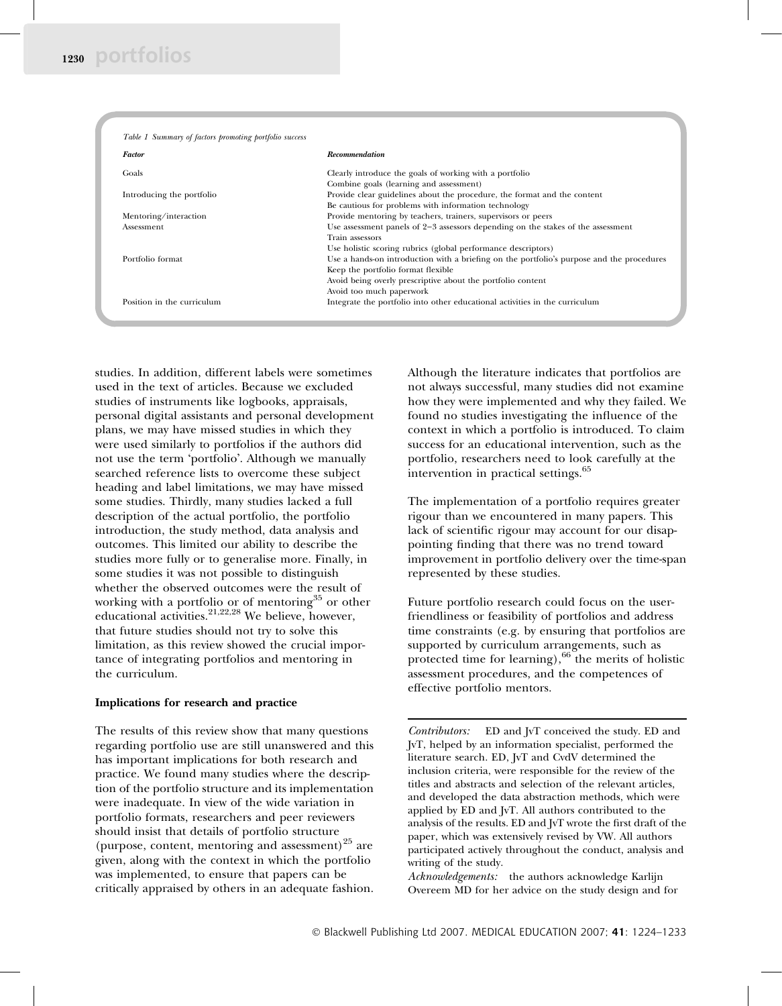| <b>Factor</b>              | <b>Recommendation</b>                                                                     |
|----------------------------|-------------------------------------------------------------------------------------------|
| Goals                      | Clearly introduce the goals of working with a portfolio                                   |
|                            | Combine goals (learning and assessment)                                                   |
| Introducing the portfolio  | Provide clear guidelines about the procedure, the format and the content                  |
|                            | Be cautious for problems with information technology                                      |
| Mentoring/interaction      | Provide mentoring by teachers, trainers, supervisors or peers                             |
| Assessment                 | Use assessment panels of $2-3$ assessors depending on the stakes of the assessment        |
|                            | Train assessors                                                                           |
|                            | Use holistic scoring rubrics (global performance descriptors)                             |
| Portfolio format           | Use a hands-on introduction with a briefing on the portfolio's purpose and the procedures |
|                            | Keep the portfolio format flexible                                                        |
|                            | Avoid being overly prescriptive about the portfolio content                               |
|                            | Avoid too much paperwork                                                                  |
| Position in the curriculum | Integrate the portfolio into other educational activities in the curriculum               |

studies. In addition, different labels were sometimes used in the text of articles. Because we excluded studies of instruments like logbooks, appraisals, personal digital assistants and personal development plans, we may have missed studies in which they were used similarly to portfolios if the authors did not use the term 'portfolio'. Although we manually searched reference lists to overcome these subject heading and label limitations, we may have missed some studies. Thirdly, many studies lacked a full description of the actual portfolio, the portfolio introduction, the study method, data analysis and outcomes. This limited our ability to describe the studies more fully or to generalise more. Finally, in some studies it was not possible to distinguish whether the observed outcomes were the result of working with a portfolio or of mentoring $35$  or other educational activities.<sup>21,22,28</sup> We believe, however, that future studies should not try to solve this limitation, as this review showed the crucial importance of integrating portfolios and mentoring in the curriculum.

#### Implications for research and practice

The results of this review show that many questions regarding portfolio use are still unanswered and this has important implications for both research and practice. We found many studies where the description of the portfolio structure and its implementation were inadequate. In view of the wide variation in portfolio formats, researchers and peer reviewers should insist that details of portfolio structure (purpose, content, mentoring and assessment) $^{25}$  are given, along with the context in which the portfolio was implemented, to ensure that papers can be critically appraised by others in an adequate fashion.

Although the literature indicates that portfolios are not always successful, many studies did not examine how they were implemented and why they failed. We found no studies investigating the influence of the context in which a portfolio is introduced. To claim success for an educational intervention, such as the portfolio, researchers need to look carefully at the intervention in practical settings.<sup>65</sup>

The implementation of a portfolio requires greater rigour than we encountered in many papers. This lack of scientific rigour may account for our disappointing finding that there was no trend toward improvement in portfolio delivery over the time-span represented by these studies.

Future portfolio research could focus on the userfriendliness or feasibility of portfolios and address time constraints (e.g. by ensuring that portfolios are supported by curriculum arrangements, such as protected time for learning), $66$  the merits of holistic assessment procedures, and the competences of effective portfolio mentors.

Contributors: ED and JvT conceived the study. ED and JvT, helped by an information specialist, performed the literature search. ED, JvT and CvdV determined the inclusion criteria, were responsible for the review of the titles and abstracts and selection of the relevant articles, and developed the data abstraction methods, which were applied by ED and JvT. All authors contributed to the analysis of the results. ED and JvT wrote the first draft of the paper, which was extensively revised by VW. All authors participated actively throughout the conduct, analysis and writing of the study.

Acknowledgements: the authors acknowledge Karlijn Overeem MD for her advice on the study design and for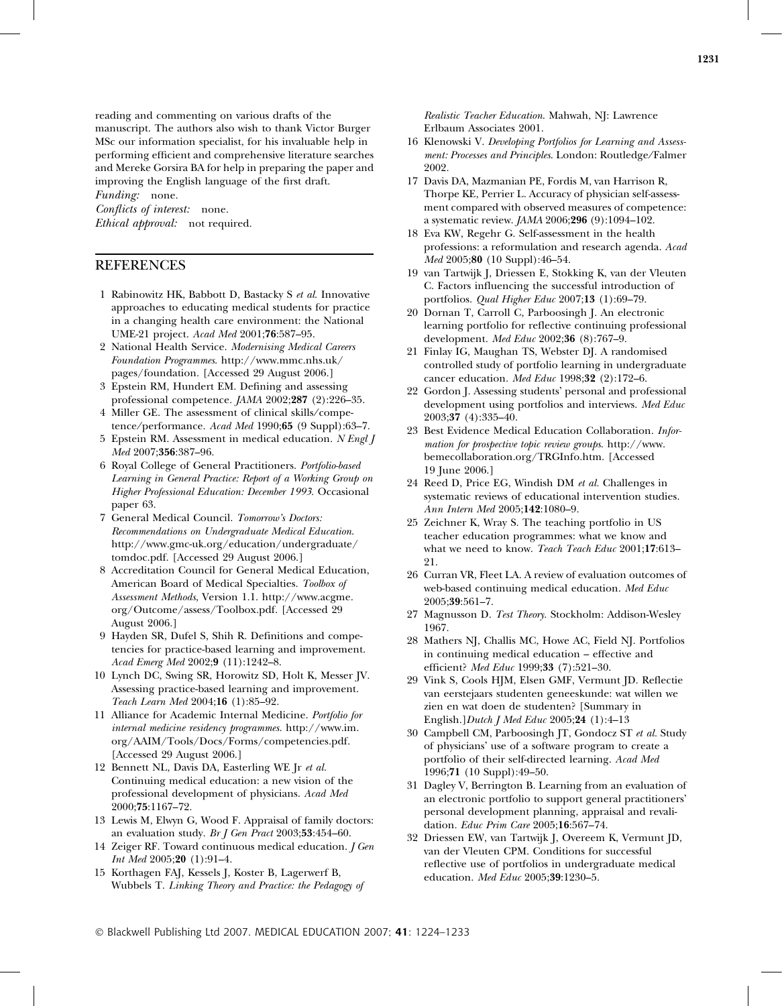reading and commenting on various drafts of the manuscript. The authors also wish to thank Victor Burger MSc our information specialist, for his invaluable help in performing efficient and comprehensive literature searches and Mereke Gorsira BA for help in preparing the paper and improving the English language of the first draft.

Funding: none. Conflicts of interest: none.

Ethical approval: not required.

### **REFERENCES**

- 1 Rabinowitz HK, Babbott D, Bastacky S et al. Innovative approaches to educating medical students for practice in a changing health care environment: the National UME-21 project. Acad Med 2001;76:587–95.
- 2 National Health Service. Modernising Medical Careers Foundation Programmes. http://www.mmc.nhs.uk/ pages/foundation. [Accessed 29 August 2006.]
- 3 Epstein RM, Hundert EM. Defining and assessing professional competence. JAMA 2002;287 (2):226–35.
- 4 Miller GE. The assessment of clinical skills⁄ competence/performance. Acad Med 1990;65 (9 Suppl):63-7.
- 5 Epstein RM. Assessment in medical education. N Engl J Med 2007;356:387-96.
- 6 Royal College of General Practitioners. Portfolio-based Learning in General Practice: Report of a Working Group on Higher Professional Education: December 1993. Occasional paper 63.
- 7 General Medical Council. Tomorrow's Doctors: Recommendations on Undergraduate Medical Education. http://www.gmc-uk.org/education/undergraduate/ tomdoc.pdf. [Accessed 29 August 2006.]
- 8 Accreditation Council for General Medical Education, American Board of Medical Specialties. Toolbox of Assessment Methods, Version 1.1. http://www.acgme. org/Outcome/assess/Toolbox.pdf. [Accessed 29 August 2006.]
- 9 Hayden SR, Dufel S, Shih R. Definitions and competencies for practice-based learning and improvement. Acad Emerg Med 2002;9 (11):1242–8.
- 10 Lynch DC, Swing SR, Horowitz SD, Holt K, Messer JV. Assessing practice-based learning and improvement. Teach Learn Med 2004;16 (1):85–92.
- 11 Alliance for Academic Internal Medicine. Portfolio for internal medicine residency programmes. http://www.im. org/AAIM/Tools/Docs/Forms/competencies.pdf. [Accessed 29 August 2006.]
- 12 Bennett NL, Davis DA, Easterling WE Jr et al. Continuing medical education: a new vision of the professional development of physicians. Acad Med 2000;75:1167–72.
- 13 Lewis M, Elwyn G, Wood F. Appraisal of family doctors: an evaluation study. Br J Gen Pract  $2003;53:454-60$ .
- 14 Zeiger RF. Toward continuous medical education. J Gen Int Med 2005;20 (1):91–4.
- 15 Korthagen FAJ, Kessels J, Koster B, Lagerwerf B, Wubbels T. Linking Theory and Practice: the Pedagogy of

Realistic Teacher Education. Mahwah, NJ: Lawrence Erlbaum Associates 2001.

- 16 Klenowski V. Developing Portfolios for Learning and Assessment: Processes and Principles. London: Routledge ⁄ Falmer 2002.
- 17 Davis DA, Mazmanian PE, Fordis M, van Harrison R, Thorpe KE, Perrier L. Accuracy of physician self-assessment compared with observed measures of competence: a systematic review. JAMA 2006;296 (9):1094–102.
- 18 Eva KW, Regehr G. Self-assessment in the health professions: a reformulation and research agenda. Acad Med 2005;80 (10 Suppl):46–54.
- 19 van Tartwijk J, Driessen E, Stokking K, van der Vleuten C. Factors influencing the successful introduction of portfolios. Qual Higher Educ 2007;13 (1):69-79.
- 20 Dornan T, Carroll C, Parboosingh J. An electronic learning portfolio for reflective continuing professional development. Med Educ 2002;36 (8):767–9.
- 21 Finlay IG, Maughan TS, Webster DJ. A randomised controlled study of portfolio learning in undergraduate cancer education. Med Educ 1998;32 (2):172–6.
- 22 Gordon J. Assessing students' personal and professional development using portfolios and interviews. Med Educ 2003;37 (4):335–40.
- 23 Best Evidence Medical Education Collaboration. Information for prospective topic review groups. http://www. bemecollaboration.org/TRGInfo.htm. [Accessed 19 June 2006.]
- 24 Reed D, Price EG, Windish DM et al. Challenges in systematic reviews of educational intervention studies. Ann Intern Med 2005;142:1080–9.
- 25 Zeichner K, Wray S. The teaching portfolio in US teacher education programmes: what we know and what we need to know. Teach Teach Educ 2001;17:613-21.
- 26 Curran VR, Fleet LA. A review of evaluation outcomes of web-based continuing medical education. Med Educ 2005;39:561–7.
- 27 Magnusson D. Test Theory. Stockholm: Addison-Wesley 1967.
- 28 Mathers NJ, Challis MC, Howe AC, Field NJ. Portfolios in continuing medical education – effective and efficient? Med Educ 1999;33 (7):521–30.
- 29 Vink S, Cools HJM, Elsen GMF, Vermunt JD. Reflectie van eerstejaars studenten geneeskunde: wat willen we zien en wat doen de studenten? [Summary in English.]Dutch J Med Educ 2005;24 (1):4–13
- 30 Campbell CM, Parboosingh JT, Gondocz ST et al. Study of physicians' use of a software program to create a portfolio of their self-directed learning. Acad Med 1996;71 (10 Suppl):49–50.
- 31 Dagley V, Berrington B. Learning from an evaluation of an electronic portfolio to support general practitioners personal development planning, appraisal and revalidation. Educ Prim Care 2005;16:567–74.
- 32 Driessen EW, van Tartwijk J, Overeem K, Vermunt JD, van der Vleuten CPM. Conditions for successful reflective use of portfolios in undergraduate medical education. Med Educ 2005;39:1230–5.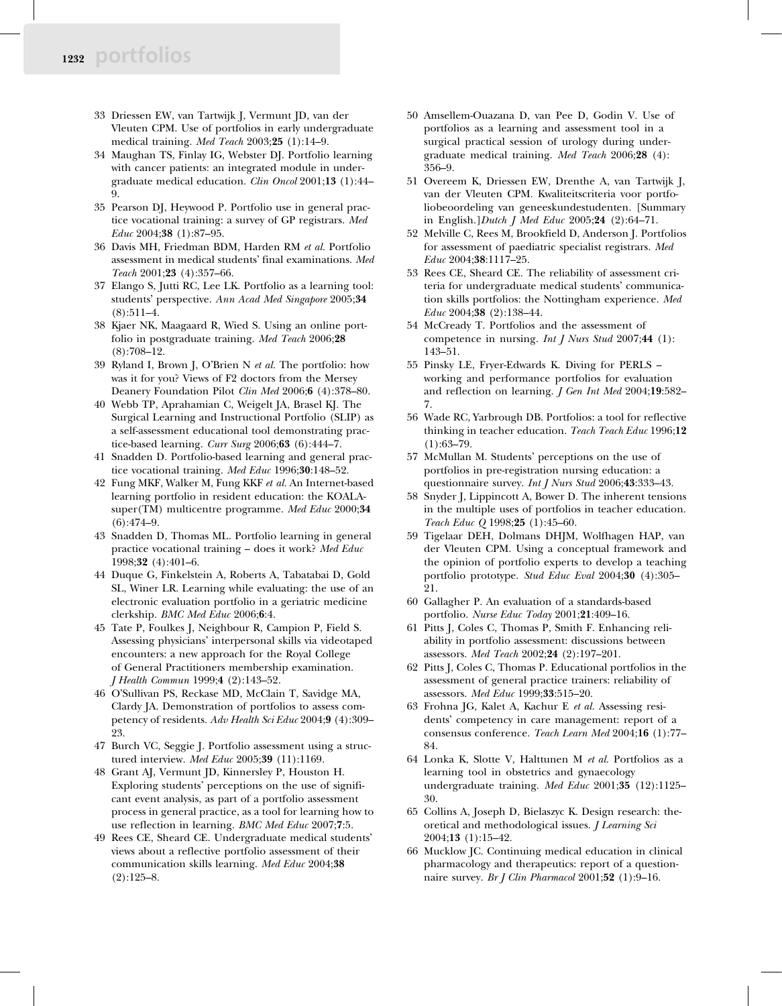- 33 Driessen EW, van Tartwijk J, Vermunt JD, van der Vleuten CPM. Use of portfolios in early undergraduate medical training. Med Teach 2003;25 (1):14–9.
- 34 Maughan TS, Finlay IG, Webster DJ. Portfolio learning with cancer patients: an integrated module in undergraduate medical education. Clin Oncol 2001;13 (1):44– 9.
- 35 Pearson DJ, Heywood P. Portfolio use in general practice vocational training: a survey of GP registrars. Med Educ 2004;38 (1):87–95.
- 36 Davis MH, Friedman BDM, Harden RM et al. Portfolio assessment in medical students' final examinations. Med Teach 2001;23 (4):357–66.
- 37 Elango S, Jutti RC, Lee LK. Portfolio as a learning tool: students' perspective. Ann Acad Med Singapore 2005;34  $(8):511-4.$
- 38 Kjaer NK, Maagaard R, Wied S. Using an online portfolio in postgraduate training. Med Teach 2006;28 (8):708–12.
- 39 Ryland I, Brown J, O'Brien N et al. The portfolio: how was it for you? Views of F2 doctors from the Mersey Deanery Foundation Pilot Clin Med 2006;6 (4):378–80.
- 40 Webb TP, Aprahamian C, Weigelt JA, Brasel KJ. The Surgical Learning and Instructional Portfolio (SLIP) as a self-assessment educational tool demonstrating practice-based learning. *Curr Surg* 2006;**63** (6):444-7.
- 41 Snadden D. Portfolio-based learning and general practice vocational training. Med Educ 1996;30:148–52.
- 42 Fung MKF, Walker M, Fung KKF et al. An Internet-based learning portfolio in resident education: the KOALAsuper(TM) multicentre programme. Med Educ 2000;34  $(6):474-9.$
- 43 Snadden D, Thomas ML. Portfolio learning in general practice vocational training – does it work? Med Educ 1998;32 (4):401–6.
- 44 Duque G, Finkelstein A, Roberts A, Tabatabai D, Gold SL, Winer LR. Learning while evaluating: the use of an electronic evaluation portfolio in a geriatric medicine clerkship. BMC Med Educ 2006;6:4.
- 45 Tate P, Foulkes J, Neighbour R, Campion P, Field S. Assessing physicians' interpersonal skills via videotaped encounters: a new approach for the Royal College of General Practitioners membership examination. J Health Commun 1999;4 (2):143–52.
- 46 O'Sullivan PS, Reckase MD, McClain T, Savidge MA, Clardy JA. Demonstration of portfolios to assess competency of residents. Adv Health Sci Educ 2004;9 (4):309– 23.
- 47 Burch VC, Seggie J. Portfolio assessment using a structured interview. Med Educ 2005;39 (11):1169.
- 48 Grant AJ, Vermunt JD, Kinnersley P, Houston H. Exploring students' perceptions on the use of significant event analysis, as part of a portfolio assessment process in general practice, as a tool for learning how to use reflection in learning. BMC Med Educ 2007;7:5.
- 49 Rees CE, Sheard CE. Undergraduate medical students views about a reflective portfolio assessment of their communication skills learning. Med Educ 2004;38  $(2):125-8.$
- 50 Amsellem-Ouazana D, van Pee D, Godin V. Use of portfolios as a learning and assessment tool in a surgical practical session of urology during undergraduate medical training. Med Teach 2006;28 (4): 356–9.
- 51 Overeem K, Driessen EW, Drenthe A, van Tartwijk J, van der Vleuten CPM. Kwaliteitscriteria voor portfoliobeoordeling van geneeskundestudenten. [Summary in English.]Dutch J Med Educ 2005;24 (2):64–71.
- 52 Melville C, Rees M, Brookfield D, Anderson J. Portfolios for assessment of paediatric specialist registrars. Med Educ 2004;38:1117–25.
- 53 Rees CE, Sheard CE. The reliability of assessment criteria for undergraduate medical students' communication skills portfolios: the Nottingham experience. Med Educ 2004;38 (2):138–44.
- 54 McCready T. Portfolios and the assessment of competence in nursing. *Int J Nurs Stud* 2007;44 (1): 143–51.
- 55 Pinsky LE, Fryer-Edwards K. Diving for PERLS working and performance portfolios for evaluation and reflection on learning. J Gen Int Med 2004;19:582– 7.
- 56 Wade RC, Yarbrough DB. Portfolios: a tool for reflective thinking in teacher education. Teach Teach Educ 1996;12  $(1):63-79.$
- 57 McMullan M. Students' perceptions on the use of portfolios in pre-registration nursing education: a questionnaire survey. Int J Nurs Stud 2006;43:333-43.
- 58 Snyder J, Lippincott A, Bower D. The inherent tensions in the multiple uses of portfolios in teacher education. Teach Educ Q 1998;25 (1):45–60.
- 59 Tigelaar DEH, Dolmans DHJM, Wolfhagen HAP, van der Vleuten CPM. Using a conceptual framework and the opinion of portfolio experts to develop a teaching portfolio prototype. Stud Educ Eval 2004;30 (4):305– 21.
- 60 Gallagher P. An evaluation of a standards-based portfolio. Nurse Educ Today 2001;21:409–16.
- 61 Pitts J, Coles C, Thomas P, Smith F. Enhancing reliability in portfolio assessment: discussions between assessors. Med Teach 2002;24 (2):197–201.
- 62 Pitts J, Coles C, Thomas P. Educational portfolios in the assessment of general practice trainers: reliability of assessors. Med Educ 1999;33:515–20.
- 63 Frohna JG, Kalet A, Kachur E et al. Assessing residents' competency in care management: report of a consensus conference. Teach Learn Med 2004;16 (1):77– 84.
- 64 Lonka K, Slotte V, Halttunen M et al. Portfolios as a learning tool in obstetrics and gynaecology undergraduate training. Med Educ 2001;35 (12):1125– 30.
- 65 Collins A, Joseph D, Bielaszyc K. Design research: theoretical and methodological issues. J Learning Sci 2004;13 (1):15–42.
- 66 Mucklow JC. Continuing medical education in clinical pharmacology and therapeutics: report of a questionnaire survey. Br J Clin Pharmacol 2001;52 (1):9-16.